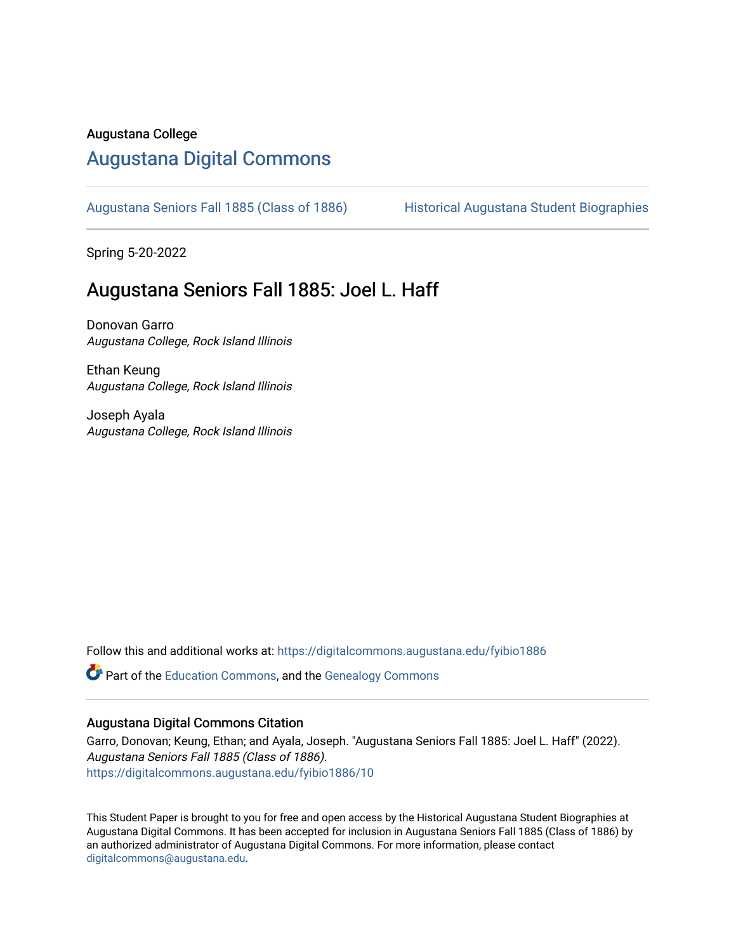#### Augustana College

#### [Augustana Digital Commons](https://digitalcommons.augustana.edu/)

[Augustana Seniors Fall 1885 \(Class of 1886\)](https://digitalcommons.augustana.edu/fyibio1886) Historical Augustana Student Biographies

Spring 5-20-2022

#### Augustana Seniors Fall 1885: Joel L. Haff

Donovan Garro Augustana College, Rock Island Illinois

Ethan Keung Augustana College, Rock Island Illinois

Joseph Ayala Augustana College, Rock Island Illinois

Follow this and additional works at: [https://digitalcommons.augustana.edu/fyibio1886](https://digitalcommons.augustana.edu/fyibio1886?utm_source=digitalcommons.augustana.edu%2Ffyibio1886%2F10&utm_medium=PDF&utm_campaign=PDFCoverPages) 

Part of the [Education Commons](https://network.bepress.com/hgg/discipline/784?utm_source=digitalcommons.augustana.edu%2Ffyibio1886%2F10&utm_medium=PDF&utm_campaign=PDFCoverPages), and the [Genealogy Commons](https://network.bepress.com/hgg/discipline/1342?utm_source=digitalcommons.augustana.edu%2Ffyibio1886%2F10&utm_medium=PDF&utm_campaign=PDFCoverPages) 

#### Augustana Digital Commons Citation

Garro, Donovan; Keung, Ethan; and Ayala, Joseph. "Augustana Seniors Fall 1885: Joel L. Haff" (2022). Augustana Seniors Fall 1885 (Class of 1886). [https://digitalcommons.augustana.edu/fyibio1886/10](https://digitalcommons.augustana.edu/fyibio1886/10?utm_source=digitalcommons.augustana.edu%2Ffyibio1886%2F10&utm_medium=PDF&utm_campaign=PDFCoverPages)

This Student Paper is brought to you for free and open access by the Historical Augustana Student Biographies at Augustana Digital Commons. It has been accepted for inclusion in Augustana Seniors Fall 1885 (Class of 1886) by an authorized administrator of Augustana Digital Commons. For more information, please contact [digitalcommons@augustana.edu](mailto:digitalcommons@augustana.edu).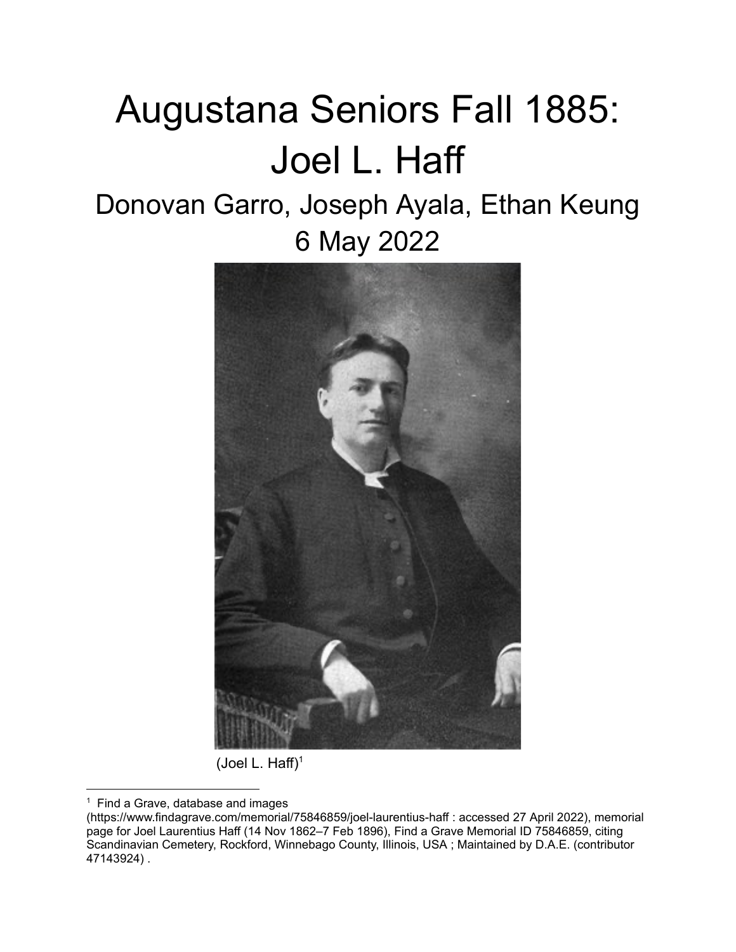# Augustana Seniors Fall 1885: Joel L. Haff

# Donovan Garro, Joseph Ayala, Ethan Keung 6 May 2022



(Joel L. Haff) $1$ 

 $1$  Find a Grave, database and images

<sup>(</sup>https://www.findagrave.com/memorial/75846859/joel-laurentius-haff : accessed 27 April 2022), memorial page for Joel Laurentius Haff (14 Nov 1862–7 Feb 1896), Find a Grave Memorial ID 75846859, citing Scandinavian Cemetery, Rockford, Winnebago County, Illinois, USA ; Maintained by D.A.E. (contributor 47143924) .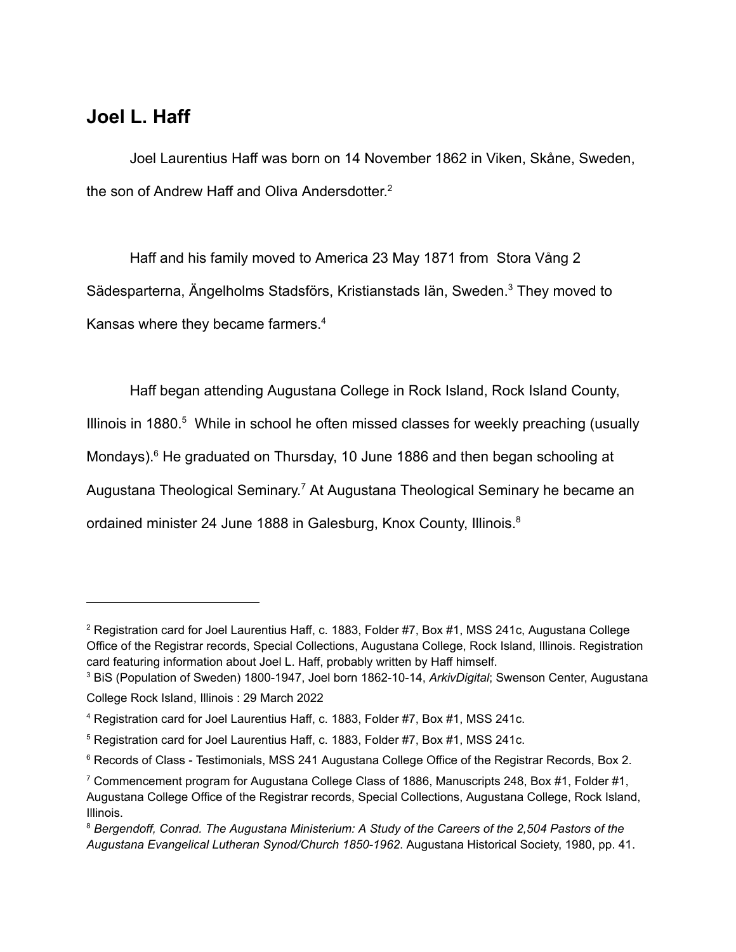#### **Joel L. Haff**

Joel Laurentius Haff was born on 14 November 1862 in Viken, Skåne, Sweden, the son of Andrew Haff and Oliva Andersdotter. 2

Haff and his family moved to America 23 May 1871 from Stora Vång 2 Sädesparterna, Ängelholms Stadsförs, Kristianstads Iän, Sweden.<sup>3</sup> They moved to Kansas where they became farmers.<sup>4</sup>

Haff began attending Augustana College in Rock Island, Rock Island County, Illinois in 1880. $5$  While in school he often missed classes for weekly preaching (usually Mondays).<sup>6</sup> He graduated on Thursday, 10 June 1886 and then began schooling at Augustana Theological Seminary.<sup>7</sup> At Augustana Theological Seminary he became an ordained minister 24 June 1888 in Galesburg, Knox County, Illinois.<sup>8</sup>

<sup>&</sup>lt;sup>2</sup> Registration card for Joel Laurentius Haff, c. 1883, Folder #7, Box #1, MSS 241c, Augustana College Office of the Registrar records, Special Collections, Augustana College, Rock Island, Illinois. Registration card featuring information about Joel L. Haff, probably written by Haff himself.

<sup>3</sup> BiS (Population of Sweden) 1800-1947, Joel born 1862-10-14, *ArkivDigital*; Swenson Center, Augustana College Rock Island, Illinois : 29 March 2022

<sup>4</sup> Registration card for Joel Laurentius Haff, c. 1883, Folder #7, Box #1, MSS 241c.

<sup>5</sup> Registration card for Joel Laurentius Haff, c. 1883, Folder #7, Box #1, MSS 241c.

<sup>&</sup>lt;sup>6</sup> Records of Class - Testimonials, MSS 241 Augustana College Office of the Registrar Records, Box 2.

<sup>&</sup>lt;sup>7</sup> Commencement program for Augustana College Class of 1886, Manuscripts 248, Box #1, Folder #1, Augustana College Office of the Registrar records, Special Collections, Augustana College, Rock Island, Illinois.

<sup>8</sup> *Bergendoff, Conrad. The Augustana Ministerium: A Study of the Careers of the 2,504 Pastors of the Augustana Evangelical Lutheran Synod/Church 1850-1962*. Augustana Historical Society, 1980, pp. 41.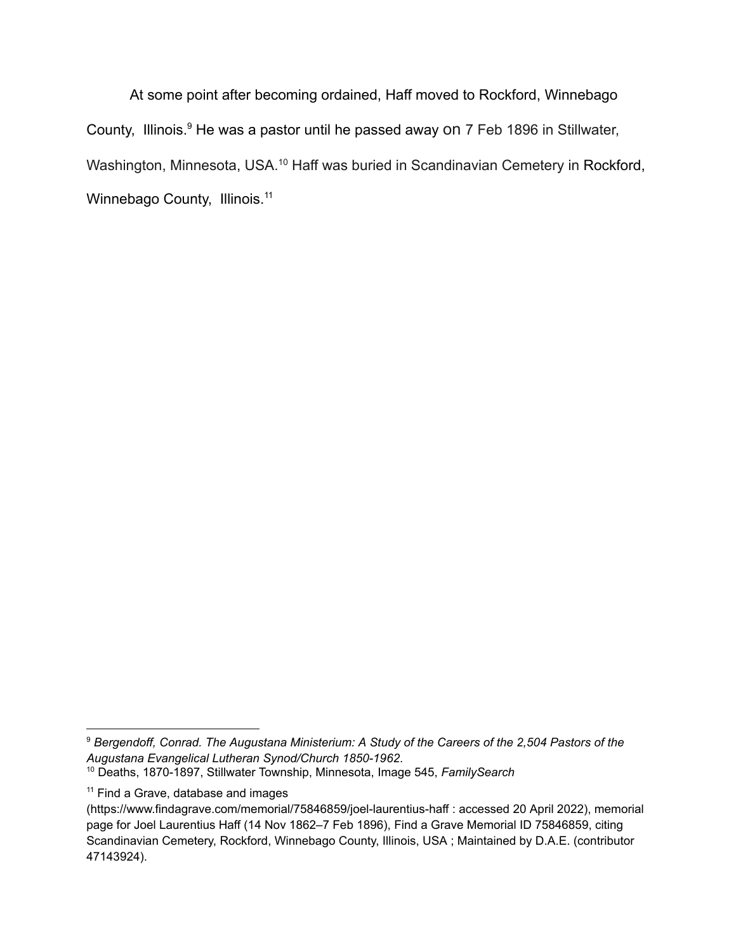At some point after becoming ordained, Haff moved to Rockford, Winnebago County, Illinois.<sup>9</sup> He was a pastor until he passed away on 7 Feb 1896 in Stillwater, Washington, Minnesota, USA.<sup>10</sup> Haff was buried in Scandinavian Cemetery in Rockford, Winnebago County, Illinois.<sup>11</sup>

<sup>9</sup> *Bergendoff, Conrad. The Augustana Ministerium: A Study of the Careers of the 2,504 Pastors of the Augustana Evangelical Lutheran Synod/Church 1850-1962*.

<sup>10</sup> Deaths, 1870-1897, Stillwater Township, Minnesota, Image 545, *FamilySearch*

<sup>&</sup>lt;sup>11</sup> Find a Grave, database and images

<sup>(</sup>https://www.findagrave.com/memorial/75846859/joel-laurentius-haff : accessed 20 April 2022), memorial page for Joel Laurentius Haff (14 Nov 1862–7 Feb 1896), Find a Grave Memorial ID 75846859, citing Scandinavian Cemetery, Rockford, Winnebago County, Illinois, USA ; Maintained by D.A.E. (contributor 47143924).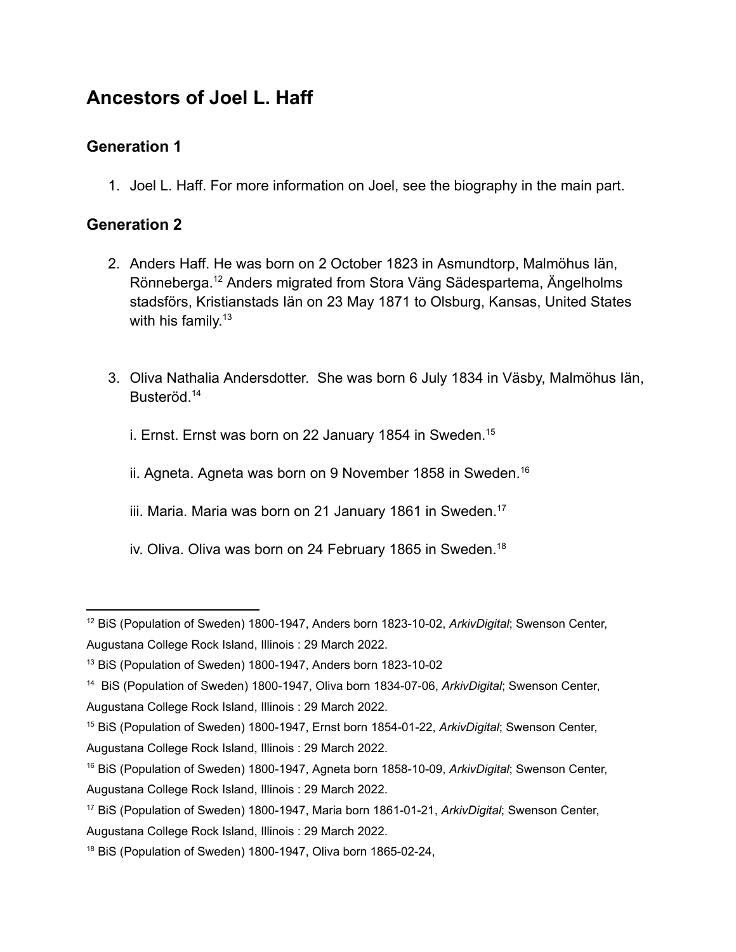## **Ancestors of Joel L. Haff**

#### **Generation 1**

1. Joel L. Haff. For more information on Joel, see the biography in the main part.

#### **Generation 2**

- 2. Anders Haff. He was born on 2 October 1823 in Asmundtorp, Malmöhus Iän, Rönneberga.<sup>12</sup> Anders migrated from Stora Väng Sädespartema, Ängelholms stadsförs, Kristianstads Iän on 23 May 1871 to Olsburg, Kansas, United States with his family. 13
- 3. Oliva Nathalia Andersdotter. She was born 6 July 1834 in Väsby, Malmöhus Iän, Busteröd.<sup>14</sup>

i. Ernst. Ernst was born on 22 January 1854 in Sweden.<sup>15</sup>

ii. Agneta. Agneta was born on 9 November 1858 in Sweden.<sup>16</sup>

iii. Maria. Maria was born on 21 January 1861 in Sweden.<sup>17</sup>

iv. Oliva. Oliva was born on 24 February 1865 in Sweden.<sup>18</sup>

<sup>12</sup> BiS (Population of Sweden) 1800-1947, Anders born 1823-10-02, *ArkivDigital*; Swenson Center, Augustana College Rock Island, Illinois : 29 March 2022.

<sup>13</sup> BiS (Population of Sweden) 1800-1947, Anders born 1823-10-02

<sup>14</sup> BiS (Population of Sweden) 1800-1947, Oliva born 1834-07-06, *ArkivDigital*; Swenson Center, Augustana College Rock Island, Illinois : 29 March 2022.

<sup>15</sup> BiS (Population of Sweden) 1800-1947, Ernst born 1854-01-22, *ArkivDigital*; Swenson Center, Augustana College Rock Island, Illinois : 29 March 2022.

<sup>16</sup> BiS (Population of Sweden) 1800-1947, Agneta born 1858-10-09, *ArkivDigital*; Swenson Center, Augustana College Rock Island, Illinois : 29 March 2022.

<sup>17</sup> BiS (Population of Sweden) 1800-1947, Maria born 1861-01-21, *ArkivDigital*; Swenson Center, Augustana College Rock Island, Illinois : 29 March 2022.

<sup>18</sup> BiS (Population of Sweden) 1800-1947, Oliva born 1865-02-24,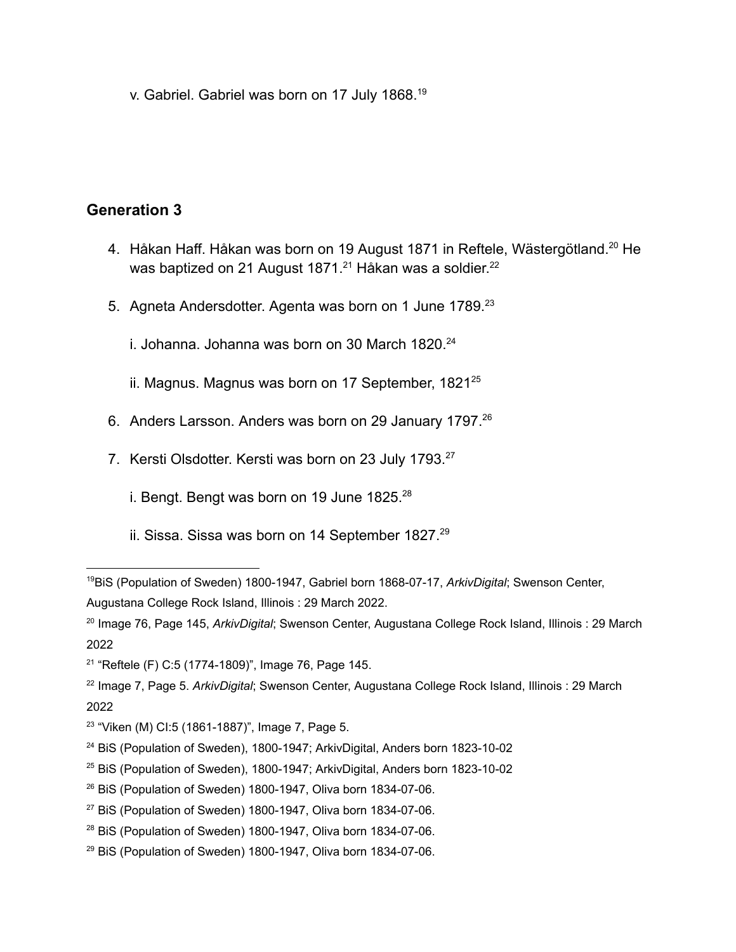v. Gabriel. Gabriel was born on 17 July 1868.<sup>19</sup>

#### **Generation 3**

- 4. Håkan Haff. Håkan was born on 19 August 1871 in Reftele, Wästergötland.<sup>20</sup> He was baptized on 21 August 1871. $^\mathrm{21}$  Håkan was a soldier. $^\mathrm{22}$
- 5. Agneta Andersdotter. Agenta was born on 1 June 1789.<sup>23</sup>

i. Johanna. Johanna was born on 30 March  $1820.^{24}$ 

ii. Magnus. Magnus was born on 17 September, 1821<sup>25</sup>

- 6. Anders Larsson. Anders was born on 29 January 1797.<sup>26</sup>
- 7. Kersti Olsdotter. Kersti was born on 23 July 1793.<sup>27</sup>
	- i. Bengt. Bengt was born on 19 June  $1825.^{28}$
	- ii. Sissa. Sissa was born on 14 September 1827.<sup>29</sup>

<sup>19</sup>BiS (Population of Sweden) 1800-1947, Gabriel born 1868-07-17, *ArkivDigital*; Swenson Center, Augustana College Rock Island, Illinois : 29 March 2022.

<sup>20</sup> Image 76, Page 145, *ArkivDigital*; Swenson Center, Augustana College Rock Island, Illinois : 29 March 2022

<sup>21</sup> "Reftele (F) C:5 (1774-1809)", Image 76, Page 145.

<sup>22</sup> Image 7, Page 5. *ArkivDigital*; Swenson Center, Augustana College Rock Island, Illinois : 29 March 2022

<sup>&</sup>lt;sup>23</sup> "Viken (M) CI:5 (1861-1887)", Image 7, Page 5.

<sup>&</sup>lt;sup>24</sup> BiS (Population of Sweden), 1800-1947; ArkivDigital, Anders born 1823-10-02

<sup>25</sup> BiS (Population of Sweden), 1800-1947; ArkivDigital, Anders born 1823-10-02

<sup>&</sup>lt;sup>26</sup> BiS (Population of Sweden) 1800-1947, Oliva born 1834-07-06.

 $27$  BiS (Population of Sweden) 1800-1947, Oliva born 1834-07-06.

<sup>&</sup>lt;sup>28</sup> BiS (Population of Sweden) 1800-1947, Oliva born 1834-07-06.

 $29$  BiS (Population of Sweden) 1800-1947, Oliva born 1834-07-06.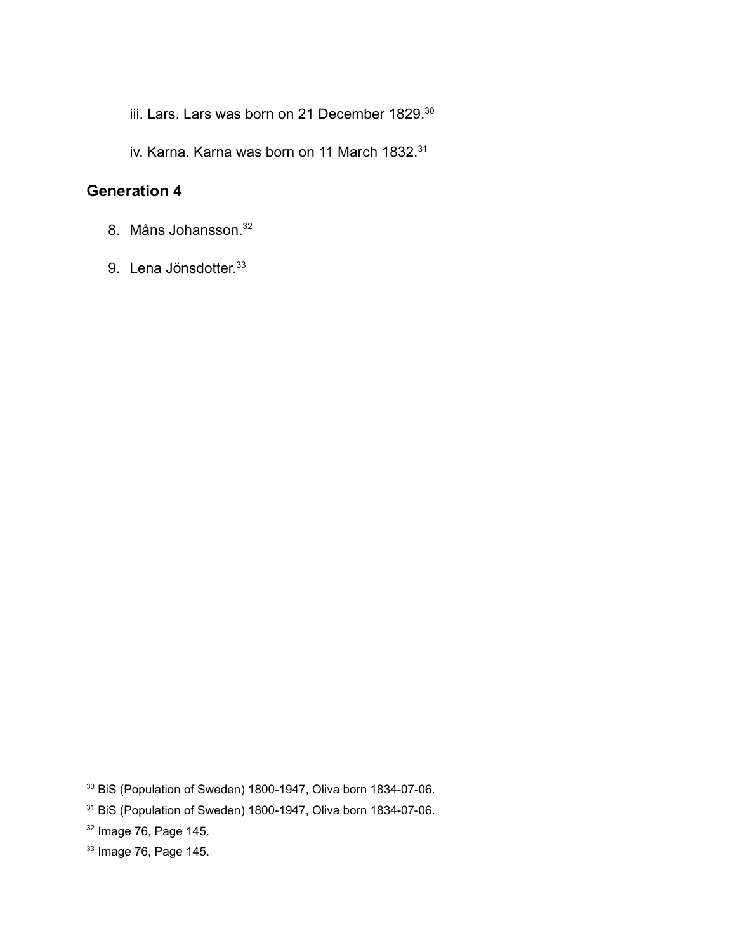iii. Lars. Lars was born on 21 December 1829.<sup>30</sup>

iv. Karna. Karna was born on 11 March 1832.<sup>31</sup>

#### **Generation 4**

- 8. Måns Johansson. 32
- 9. Lena Jönsdotter.<sup>33</sup>

<sup>30</sup> BiS (Population of Sweden) 1800-1947, Oliva born 1834-07-06.

<sup>31</sup> BiS (Population of Sweden) 1800-1947, Oliva born 1834-07-06.

<sup>32</sup> Image 76, Page 145.

<sup>33</sup> Image 76, Page 145.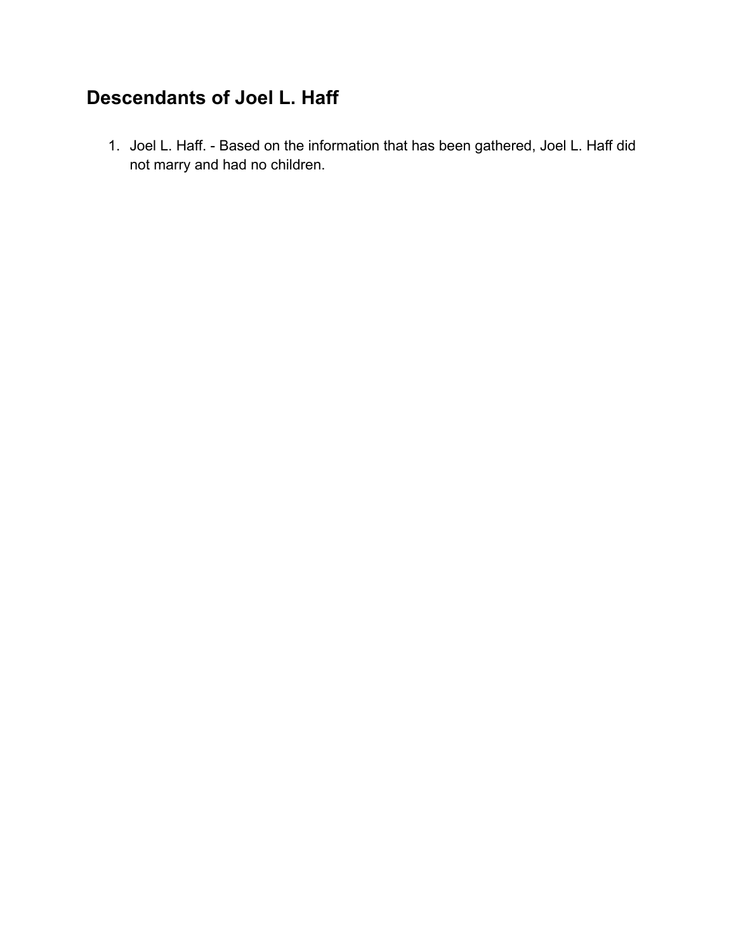# **Descendants of Joel L. Haff**

1. Joel L. Haff. - Based on the information that has been gathered, Joel L. Haff did not marry and had no children.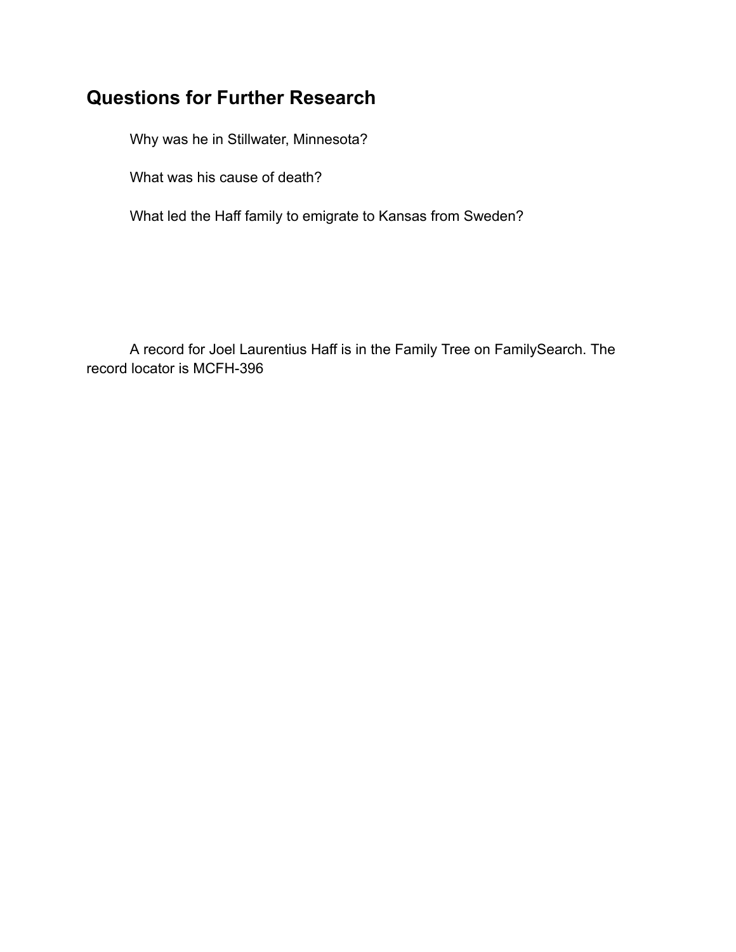# **Questions for Further Research**

Why was he in Stillwater, Minnesota?

What was his cause of death?

What led the Haff family to emigrate to Kansas from Sweden?

A record for Joel Laurentius Haff is in the Family Tree on FamilySearch. The record locator is MCFH-396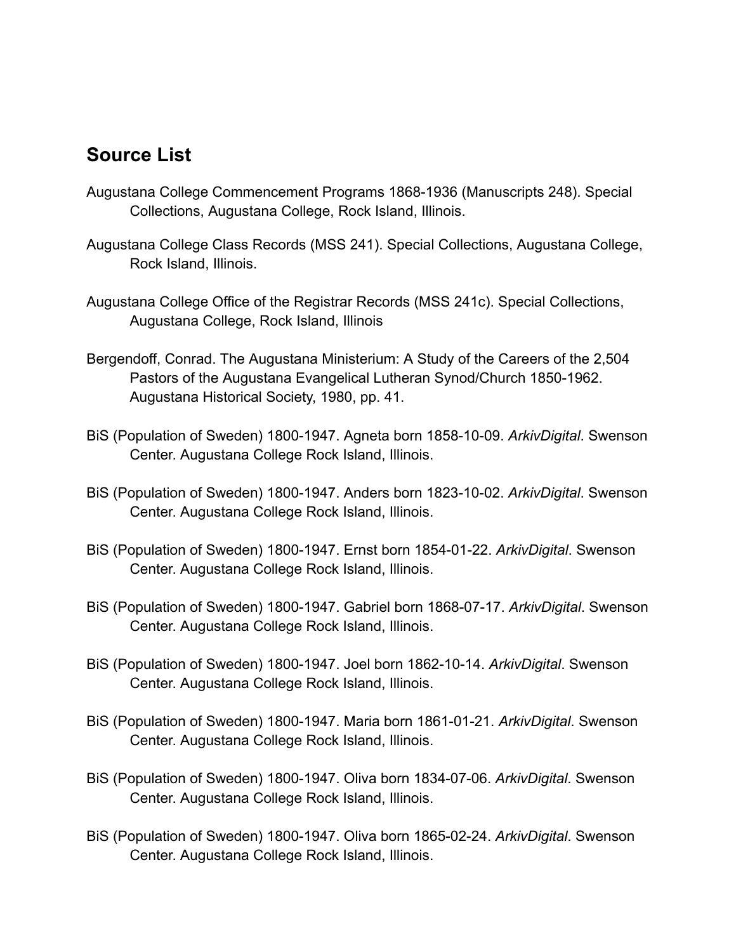### **Source List**

- Augustana College Commencement Programs 1868-1936 (Manuscripts 248). Special Collections, Augustana College, Rock Island, Illinois.
- Augustana College Class Records (MSS 241). Special Collections, Augustana College, Rock Island, Illinois.
- Augustana College Office of the Registrar Records (MSS 241c). Special Collections, Augustana College, Rock Island, Illinois
- Bergendoff, Conrad. The Augustana Ministerium: A Study of the Careers of the 2,504 Pastors of the Augustana Evangelical Lutheran Synod/Church 1850-1962. Augustana Historical Society, 1980, pp. 41.
- BiS (Population of Sweden) 1800-1947. Agneta born 1858-10-09. *ArkivDigital*. Swenson Center. Augustana College Rock Island, Illinois.
- BiS (Population of Sweden) 1800-1947. Anders born 1823-10-02. *ArkivDigital*. Swenson Center. Augustana College Rock Island, Illinois.
- BiS (Population of Sweden) 1800-1947. Ernst born 1854-01-22. *ArkivDigital*. Swenson Center. Augustana College Rock Island, Illinois.
- BiS (Population of Sweden) 1800-1947. Gabriel born 1868-07-17. *ArkivDigital*. Swenson Center. Augustana College Rock Island, Illinois.
- BiS (Population of Sweden) 1800-1947. Joel born 1862-10-14. *ArkivDigital*. Swenson Center. Augustana College Rock Island, Illinois.
- BiS (Population of Sweden) 1800-1947. Maria born 1861-01-21. *ArkivDigital*. Swenson Center. Augustana College Rock Island, Illinois.
- BiS (Population of Sweden) 1800-1947. Oliva born 1834-07-06. *ArkivDigital*. Swenson Center. Augustana College Rock Island, Illinois.
- BiS (Population of Sweden) 1800-1947. Oliva born 1865-02-24. *ArkivDigital*. Swenson Center. Augustana College Rock Island, Illinois.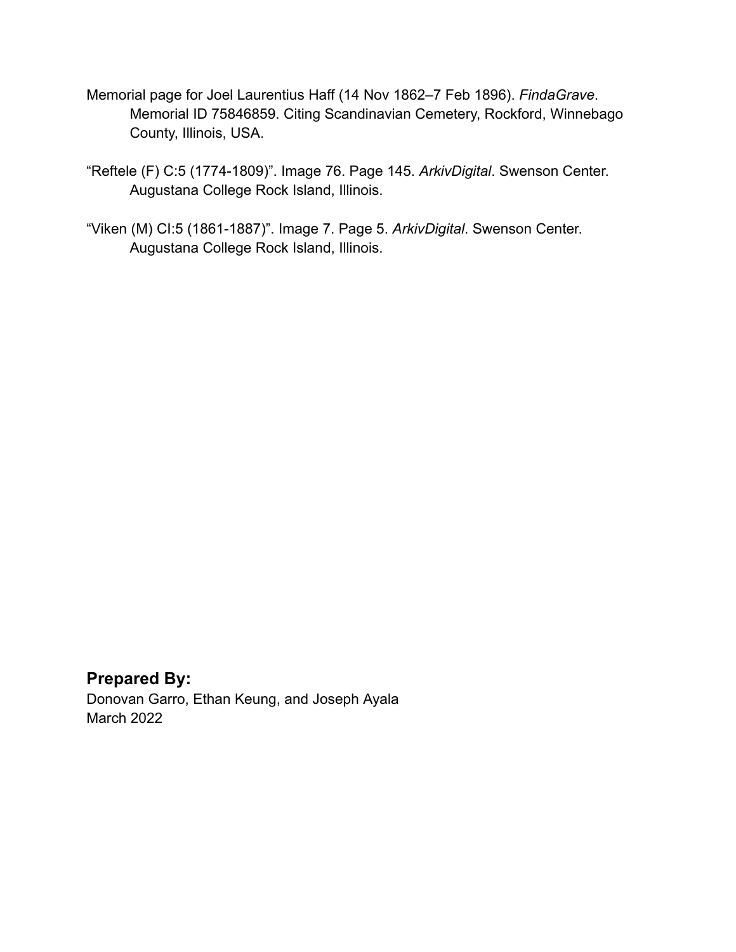- Memorial page for Joel Laurentius Haff (14 Nov 1862–7 Feb 1896). *FindaGrave*. Memorial ID 75846859. Citing Scandinavian Cemetery, Rockford, Winnebago County, Illinois, USA.
- "Reftele (F) C:5 (1774-1809)". Image 76. Page 145. *ArkivDigital*. Swenson Center. Augustana College Rock Island, Illinois.
- "Viken (M) CI:5 (1861-1887)". Image 7. Page 5. *ArkivDigital*. Swenson Center. Augustana College Rock Island, Illinois.

#### **Prepared By:** Donovan Garro, Ethan Keung, and Joseph Ayala

March 2022